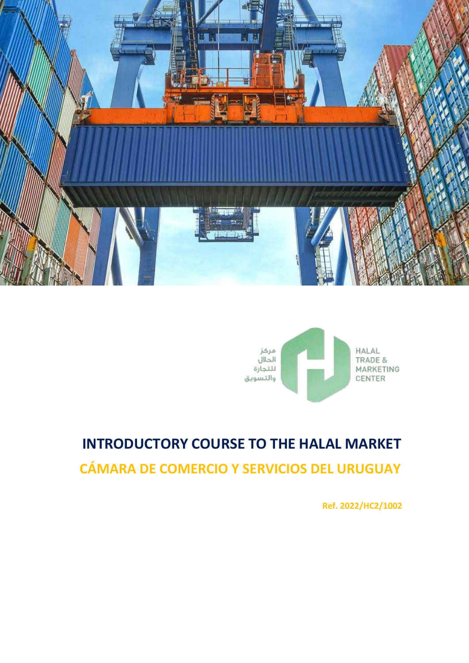



# **INTRODUCTORY COURSE TO THE HALAL MARKET CÁMARA DE COMERCIO Y SERVICIOS DEL URUGUAY**

**Ref. 2022/HC2/1002**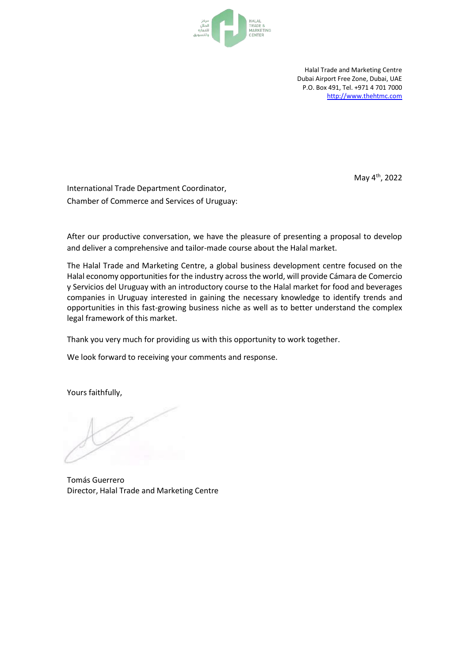

Halal Trade and Marketing Centre Dubai Airport Free Zone, Dubai, UAE P.O. Box 491, Tel. +971 4 701 7000 [http://www.thehtmc.com](http://www.thehtmc.com/)

May 4<sup>th</sup>, 2022

International Trade Department Coordinator, Chamber of Commerce and Services of Uruguay:

After our productive conversation, we have the pleasure of presenting a proposal to develop and deliver a comprehensive and tailor-made course about the Halal market.

The Halal Trade and Marketing Centre, a global business development centre focused on the Halal economy opportunities for the industry across the world, will provide Cámara de Comercio y Servicios del Uruguay with an introductory course to the Halal market for food and beverages companies in Uruguay interested in gaining the necessary knowledge to identify trends and opportunities in this fast-growing business niche as well as to better understand the complex legal framework of this market.

Thank you very much for providing us with this opportunity to work together.

We look forward to receiving your comments and response.

Yours faithfully,

Tomás Guerrero Director, Halal Trade and Marketing Centre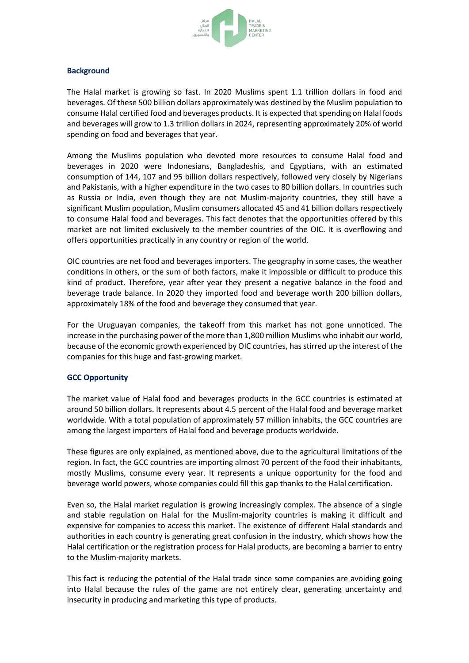

#### **Background**

The Halal market is growing so fast. In 2020 Muslims spent 1.1 trillion dollars in food and beverages. Of these 500 billion dollars approximately was destined by the Muslim population to consume Halal certified food and beverages products. It is expected that spending on Halal foods and beverages will grow to 1.3 trillion dollars in 2024, representing approximately 20% of world spending on food and beverages that year.

Among the Muslims population who devoted more resources to consume Halal food and beverages in 2020 were Indonesians, Bangladeshis, and Egyptians, with an estimated consumption of 144, 107 and 95 billion dollars respectively, followed very closely by Nigerians and Pakistanis, with a higher expenditure in the two cases to 80 billion dollars. In countries such as Russia or India, even though they are not Muslim-majority countries, they still have a significant Muslim population, Muslim consumers allocated 45 and 41 billion dollars respectively to consume Halal food and beverages. This fact denotes that the opportunities offered by this market are not limited exclusively to the member countries of the OIC. It is overflowing and offers opportunities practically in any country or region of the world.

OIC countries are net food and beverages importers. The geography in some cases, the weather conditions in others, or the sum of both factors, make it impossible or difficult to produce this kind of product. Therefore, year after year they present a negative balance in the food and beverage trade balance. In 2020 they imported food and beverage worth 200 billion dollars, approximately 18% of the food and beverage they consumed that year.

For the Uruguayan companies, the takeoff from this market has not gone unnoticed. The increase in the purchasing power of the more than 1,800 million Muslims who inhabit our world, because of the economic growth experienced by OIC countries, has stirred up the interest of the companies for this huge and fast-growing market.

## **GCC Opportunity**

The market value of Halal food and beverages products in the GCC countries is estimated at around 50 billion dollars. It represents about 4.5 percent of the Halal food and beverage market worldwide. With a total population of approximately 57 million inhabits, the GCC countries are among the largest importers of Halal food and beverage products worldwide.

These figures are only explained, as mentioned above, due to the agricultural limitations of the region. In fact, the GCC countries are importing almost 70 percent of the food their inhabitants, mostly Muslims, consume every year. It represents a unique opportunity for the food and beverage world powers, whose companies could fill this gap thanks to the Halal certification.

Even so, the Halal market regulation is growing increasingly complex. The absence of a single and stable regulation on Halal for the Muslim-majority countries is making it difficult and expensive for companies to access this market. The existence of different Halal standards and authorities in each country is generating great confusion in the industry, which shows how the Halal certification or the registration process for Halal products, are becoming a barrier to entry to the Muslim-majority markets.

This fact is reducing the potential of the Halal trade since some companies are avoiding going into Halal because the rules of the game are not entirely clear, generating uncertainty and insecurity in producing and marketing this type of products.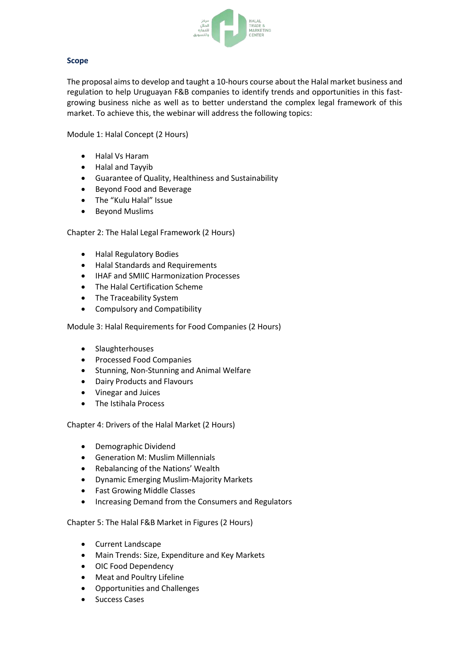

# **Scope**

The proposal aimsto develop and taught a 10-hours course about the Halal market business and regulation to help Uruguayan F&B companies to identify trends and opportunities in this fastgrowing business niche as well as to better understand the complex legal framework of this market. To achieve this, the webinar will address the following topics:

Module 1: Halal Concept (2 Hours)

- Halal Vs Haram
- Halal and Tayyib
- Guarantee of Quality, Healthiness and Sustainability
- Beyond Food and Beverage
- The "Kulu Halal" Issue
- **•** Beyond Muslims

Chapter 2: The Halal Legal Framework (2 Hours)

- Halal Regulatory Bodies
- Halal Standards and Requirements
- **IHAF and SMIIC Harmonization Processes**
- The Halal Certification Scheme
- The Traceability System
- Compulsory and Compatibility

Module 3: Halal Requirements for Food Companies (2 Hours)

- Slaughterhouses
- Processed Food Companies
- Stunning, Non-Stunning and Animal Welfare
- Dairy Products and Flavours
- Vinegar and Juices
- The Istihala Process

Chapter 4: Drivers of the Halal Market (2 Hours)

- Demographic Dividend
- Generation M: Muslim Millennials
- Rebalancing of the Nations' Wealth
- Dynamic Emerging Muslim-Majority Markets
- Fast Growing Middle Classes
- Increasing Demand from the Consumers and Regulators

Chapter 5: The Halal F&B Market in Figures (2 Hours)

- Current Landscape
- Main Trends: Size, Expenditure and Key Markets
- OIC Food Dependency
- Meat and Poultry Lifeline
- Opportunities and Challenges
- Success Cases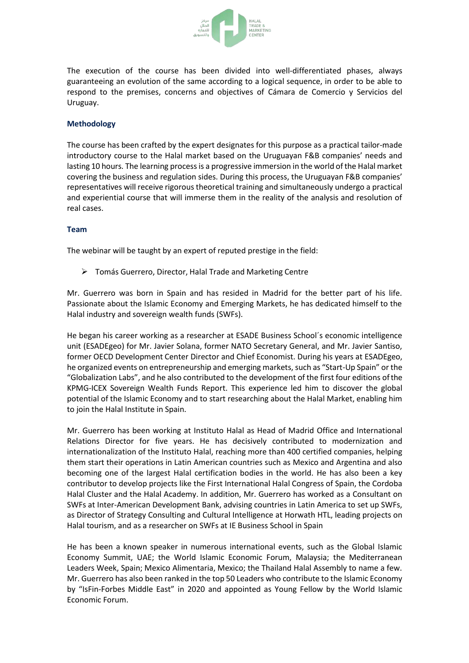

The execution of the course has been divided into well-differentiated phases, always guaranteeing an evolution of the same according to a logical sequence, in order to be able to respond to the premises, concerns and objectives of Cámara de Comercio y Servicios del Uruguay.

# **Methodology**

The course has been crafted by the expert designates for this purpose as a practical tailor-made introductory course to the Halal market based on the Uruguayan F&B companies' needs and lasting 10 hours. The learning processis a progressive immersion in the world ofthe Halal market covering the business and regulation sides. During this process, the Uruguayan F&B companies' representatives will receive rigorous theoretical training and simultaneously undergo a practical and experiential course that will immerse them in the reality of the analysis and resolution of real cases.

## **Team**

The webinar will be taught by an expert of reputed prestige in the field:

Tomás Guerrero, Director, Halal Trade and Marketing Centre

Mr. Guerrero was born in Spain and has resided in Madrid for the better part of his life. Passionate about the Islamic Economy and Emerging Markets, he has dedicated himself to the Halal industry and sovereign wealth funds (SWFs).

He began his career working as a researcher at ESADE Business School´s economic intelligence unit (ESADEgeo) for Mr. Javier Solana, former NATO Secretary General, and Mr. Javier Santiso, former OECD Development Center Director and Chief Economist. During his years at ESADEgeo, he organized events on entrepreneurship and emerging markets, such as "Start-Up Spain" or the "Globalization Labs", and he also contributed to the development of the first four editions ofthe KPMG-ICEX Sovereign Wealth Funds Report. This experience led him to discover the global potential of the Islamic Economy and to start researching about the Halal Market, enabling him to join the Halal Institute in Spain.

Mr. Guerrero has been working at Instituto Halal as Head of Madrid Office and International Relations Director for five years. He has decisively contributed to modernization and internationalization of the Instituto Halal, reaching more than 400 certified companies, helping them start their operations in Latin American countries such as Mexico and Argentina and also becoming one of the largest Halal certification bodies in the world. He has also been a key contributor to develop projects like the First International Halal Congress of Spain, the Cordoba Halal Cluster and the Halal Academy. In addition, Mr. Guerrero has worked as a Consultant on SWFs at Inter-American Development Bank, advising countries in Latin America to set up SWFs, as Director of Strategy Consulting and Cultural Intelligence at Horwath HTL, leading projects on Halal tourism, and as a researcher on SWFs at IE Business School in Spain

He has been a known speaker in numerous international events, such as the Global Islamic Economy Summit, UAE; the World Islamic Economic Forum, Malaysia; the Mediterranean Leaders Week, Spain; Mexico Alimentaria, Mexico; the Thailand Halal Assembly to name a few. Mr. Guerrero has also been ranked in the top 50 Leaders who contribute to the Islamic Economy by "IsFin-Forbes Middle East" in 2020 and appointed as Young Fellow by the World Islamic Economic Forum.